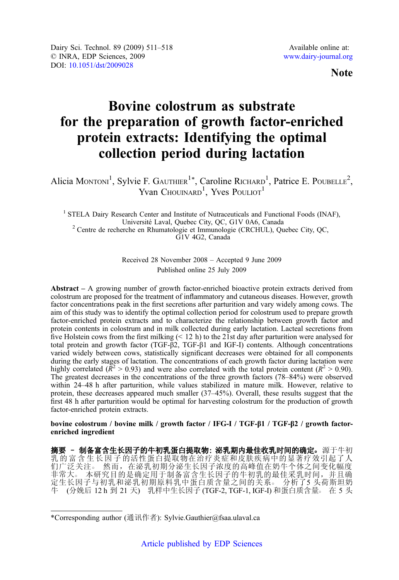Note

# Bovine colostrum as substrate for the preparation of growth factor-enriched protein extracts: Identifying the optimal collection period during lactation

Alicia Montoni<sup>1</sup>, Sylvie F. GAUTHIER<sup>1\*</sup>, Caroline RICHARD<sup>1</sup>, Patrice E. POUBELLE<sup>2</sup>, Yvan Chouinard<sup>1</sup>, Yves Pouliot<sup>1</sup>

<sup>1</sup> STELA Dairy Research Center and Institute of Nutraceuticals and Functional Foods (INAF),<br>Université Laval, Quebec City, OC, G1V 0A6, Canada  $2$  Centre de recherche en Rhumatologie et Immunologie (CRCHUL), Quebec City, QC, G1V 4G2, Canada

> Received 28 November 2008 – Accepted 9 June 2009 Published online 25 July 2009

Abstract – A growing number of growth factor-enriched bioactive protein extracts derived from colostrum are proposed for the treatment of inflammatory and cutaneous diseases. However, growth factor concentrations peak in the first secretions after parturition and vary widely among cows. The aim of this study was to identify the optimal collection period for colostrum used to prepare growth factor-enriched protein extracts and to characterize the relationship between growth factor and protein contents in colostrum and in milk collected during early lactation. Lacteal secretions from five Holstein cows from the first milking  $($  12 h) to the 21st day after parturition were analysed for total protein and growth factor (TGF-β2, TGF-β1 and IGF-I) contents. Although concentrations varied widely between cows, statistically significant decreases were obtained for all components during the early stages of lactation. The concentrations of each growth factor during lactation were highly correlated ( $\bar{R}^2 > 0.93$ ) and were also correlated with the total protein content ( $\bar{R}^2 > 0.90$ ). The greatest decreases in the concentrations of the three growth factors (78–84%) were observed within 24–48 h after parturition, while values stabilized in mature milk. However, relative to protein, these decreases appeared much smaller (37–45%). Overall, these results suggest that the first 48 h after parturition would be optimal for harvesting colostrum for the production of growth factor-enriched protein extracts.

bovine colostrum / bovine milk / growth factor / IFG-I / TGF-β1 / TGF-β2 / growth factorenriched ingredient

摘要 - 制备富含生长因子的牛初乳蛋白提取物: 泌乳期内最佳收乳时间的确定。源于牛初 乳 的 富 含 生 长 因 子 的活性蛋白提取物在治疗炎症和皮肤疾病中的显著疗效引起了人 们广泛关注。 然而,在泌乳初期分泌生长因子浓度的高峰值在奶牛个体之间变化幅度 非常大。本研究目的是确定用于制备富含生长因子的牛初乳的最佳采乳时间,并且确 定生长因子与初乳和泌乳初期原料乳中蛋白质含量之间的关系。 分析了5 头荷斯坦奶 牛 (分娩后 12 h 到 21 天) 乳样中生长因子 (TGF-2, TGF-1, IGF-I) 和蛋白质含量。 在 5 头

<sup>\*</sup>Corresponding author (通讯作者): Sylvie.Gauthier@fsaa.ulaval.ca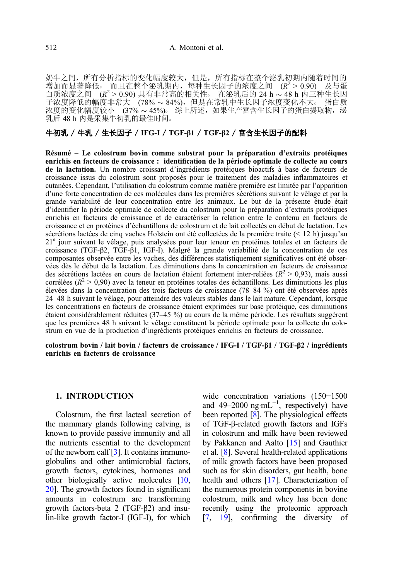奶牛之间,所有分析指标的变化幅度较大,但是,所有指标在整个泌乳初期内随着时间的 增加而显著降低。而且在整个泌乳期内,每种生长因子的浓度之间 ( $R^2 > 0.90$ ) 及与蛋<br>白质浓度之间 ( $R^2 > 0.90$ )具有非常高的相关性。在泌乳后的 24 h ~ 48 h 内三种生长因 白质浓度之间 (R<sup>2</sup> > 0.90) 具有非常高的相关性。 在泌乳后的 24 h ~ 48 h 内三种生长因<br>子浓度降低的幅度非常大 (78% ~ 84%), 但是在常乳中生长因子浓度变化不大。 蛋白质<br>汝度的变化恒度较大 (27% 15%) - 综卜氏法 - 如果生实完全生长因子的买白想要做 浓度的变化幅度较小 (37% ~ 45%)。综上所述,如果生产富含生长因子的蛋白提取物,泌 乳后 48 h 内是采集牛初乳的最佳时间○

# 牛初乳 / 牛乳 / 生长因子 / IFG-I / TGF-β1 / TGF-β2 / 富含生长因子的配料

Résumé – Le colostrum bovin comme substrat pour la préparation d'extraits protéiques enrichis en facteurs de croissance : identification de la période optimale de collecte au cours de la lactation. Un nombre croissant d'ingrédients protéiques bioactifs à base de facteurs de croissance issus du colostrum sont proposés pour le traitement des maladies inflammatoires et cutanées. Cependant, l'utilisation du colostrum comme matière première est limitée par l'apparition d'une forte concentration de ces molécules dans les premières sécrétions suivant le vêlage et par la grande variabilité de leur concentration entre les animaux. Le but de la présente étude était d'identifier la période optimale de collecte du colostrum pour la préparation d'extraits protéiques enrichis en facteurs de croissance et de caractériser la relation entre le contenu en facteurs de croissance et en protéines d'échantillons de colostrum et de lait collectés en début de lactation. Les sécrétions lactées de cinq vaches Holstein ont été collectées de la première traite (< 12 h) jusqu'au 21e jour suivant le vêlage, puis analysées pour leur teneur en protéines totales et en facteurs de croissance (TGF-β2, TGF-β1, IGF-I). Malgré la grande variabilité de la concentration de ces composantes observée entre les vaches, des différences statistiquement significatives ont été observées dès le début de la lactation. Les diminutions dans la concentration en facteurs de croissance des sécrétions lactées en cours de lactation étaient fortement inter-reliées ( $R^2 > 0.93$ ), mais aussi corrélées ( $R^2 > 0.90$ ) avec la teneur en protéines totales des échantillons. Les diminutions les plus élevées dans la concentration des trois facteurs de croissance (78–84 %) ont été observées après 24–48 h suivant le vêlage, pour atteindre des valeurs stables dans le lait mature. Cependant, lorsque les concentrations en facteurs de croissance étaient exprimées sur base protéique, ces diminutions étaient considérablement réduites (37–45 %) au cours de la même période. Les résultats suggèrent que les premières 48 h suivant le vêlage constituent la période optimale pour la collecte du colostrum en vue de la production d'ingrédients protéiques enrichis en facteurs de croissance.

colostrum bovin / lait bovin / facteurs de croissance / IFG-I / TGF-β1 / TGF-β2 / ingrédients enrichis en facteurs de croissance

## 1. INTRODUCTION

Colostrum, the first lacteal secretion of the mammary glands following calving, is known to provide passive immunity and all the nutrients essential to the development of the newborn calf [\[3\]](#page-6-0). It contains immunoglobulins and other antimicrobial factors, growth factors, cytokines, hormones and other biologically active molecules [\[10,](#page-7-0) [20\]](#page-7-0). The growth factors found in significant amounts in colostrum are transforming growth factors-beta 2 (TGF-β2) and insulin-like growth factor-I (IGF-I), for which wide concentration variations (150−1500 and 49–2000  $ng·mL^{-1}$ , respectively) have been reported [[8](#page-7-0)]. The physiological effects of TGF-β-related growth factors and IGFs in colostrum and milk have been reviewed by Pakkanen and Aalto [\[15\]](#page-7-0) and Gauthier et al. [\[8](#page-7-0)]. Several health-related applications of milk growth factors have been proposed such as for skin disorders, gut health, bone health and others [\[17](#page-7-0)]. Characterization of the numerous protein components in bovine colostrum, milk and whey has been done recently using the proteomic approach [[7](#page-6-0), [19](#page-7-0)], confirming the diversity of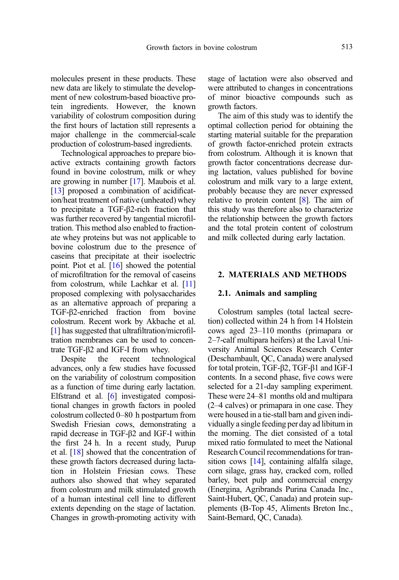molecules present in these products. These new data are likely to stimulate the development of new colostrum-based bioactive protein ingredients. However, the known variability of colostrum composition during the first hours of lactation still represents a major challenge in the commercial-scale production of colostrum-based ingredients.

Technological approaches to prepare bioactive extracts containing growth factors found in bovine colostrum, milk or whey are growing in number [\[17](#page-7-0)]. Maubois et al. [[13](#page-7-0)] proposed a combination of acidification/heat treatment of native (unheated) whey to precipitate a TGF-β2-rich fraction that was further recovered by tangential microfiltration. This method also enabled to fractionate whey proteins but was not applicable to bovine colostrum due to the presence of caseins that precipitate at their isoelectric point. Piot et al. [\[16\]](#page-7-0) showed the potential of microfiltration for the removal of caseins from colostrum, while Lachkar et al. [\[11](#page-7-0)] proposed complexing with polysaccharides as an alternative approach of preparing a TGF-β2-enriched fraction from bovine colostrum. Recent work by Akbache et al. [[1](#page-6-0)] has suggested that ultrafiltration/microfiltration membranes can be used to concentrate TGF-β2 and IGF-I from whey.

Despite the recent technological advances, only a few studies have focussed on the variability of colostrum composition as a function of time during early lactation. Elfstrand et al. [\[6](#page-6-0)] investigated compositional changes in growth factors in pooled colostrum collected 0–80 h postpartum from Swedish Friesian cows, demonstrating a rapid decrease in TGF-β2 and IGF-I within the first 24 h. In a recent study, Purup et al. [\[18\]](#page-7-0) showed that the concentration of these growth factors decreased during lactation in Holstein Friesian cows. These authors also showed that whey separated from colostrum and milk stimulated growth of a human intestinal cell line to different extents depending on the stage of lactation. Changes in growth-promoting activity with stage of lactation were also observed and were attributed to changes in concentrations of minor bioactive compounds such as growth factors.

The aim of this study was to identify the optimal collection period for obtaining the starting material suitable for the preparation of growth factor-enriched protein extracts from colostrum. Although it is known that growth factor concentrations decrease during lactation, values published for bovine colostrum and milk vary to a large extent, probably because they are never expressed relative to protein content [\[8\]](#page-7-0). The aim of this study was therefore also to characterize the relationship between the growth factors and the total protein content of colostrum and milk collected during early lactation.

## 2. MATERIALS AND METHODS

## 2.1. Animals and sampling

Colostrum samples (total lacteal secretion) collected within 24 h from 14 Holstein cows aged 23–110 months (primapara or 2–7-calf multipara heifers) at the Laval University Animal Sciences Research Center (Deschambault, QC, Canada) were analysed for total protein, TGF-β2, TGF-β1 and IGF-I contents. In a second phase, five cows were selected for a 21-day sampling experiment. These were 24–81 months old and multipara (2–4 calves) or primapara in one case. They were housed in a tie-stall barn and given individually a single feeding per day ad libitum in the morning. The diet consisted of a total mixed ratio formulated to meet the National Research Council recommendations for transition cows [[14](#page-7-0)], containing alfalfa silage, corn silage, grass hay, cracked corn, rolled barley, beet pulp and commercial energy (Energina, Agribrands Purina Canada Inc., Saint-Hubert, QC, Canada) and protein supplements (B-Top 45, Aliments Breton Inc., Saint-Bernard, QC, Canada).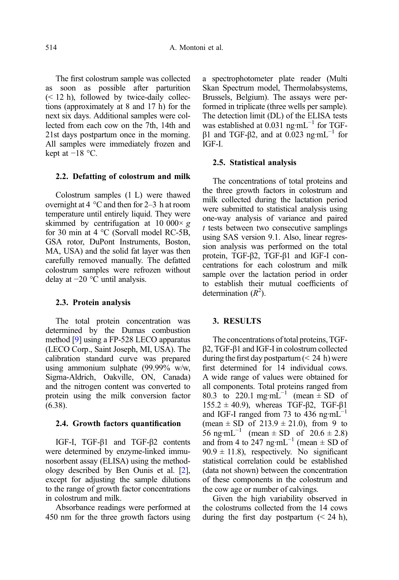The first colostrum sample was collected as soon as possible after parturition  $(< 12 \text{ h})$ , followed by twice-daily collections (approximately at 8 and 17 h) for the next six days. Additional samples were collected from each cow on the 7th, 14th and 21st days postpartum once in the morning. All samples were immediately frozen and kept at  $-18$  °C.

## 2.2. Defatting of colostrum and milk

Colostrum samples (1 L) were thawed overnight at 4 °C and then for 2–3 h at room temperature until entirely liquid. They were skimmed by centrifugation at 10 000 $\times g$ for 30 min at 4 °C (Sorvall model RC-5B, GSA rotor, DuPont Instruments, Boston, MA, USA) and the solid fat layer was then carefully removed manually. The defatted colostrum samples were refrozen without delay at −20 °C until analysis.

#### 2.3. Protein analysis

The total protein concentration was determined by the Dumas combustion method [[9\]](#page-7-0) using a FP-528 LECO apparatus (LECO Corp., Saint Joseph, MI, USA). The calibration standard curve was prepared using ammonium sulphate (99.99% w/w, Sigma-Aldrich, Oakville, ON, Canada) and the nitrogen content was converted to protein using the milk conversion factor (6.38).

#### 2.4. Growth factors quantification

IGF-I, TGF-β1 and TGF-β2 contents were determined by enzyme-linked immunosorbent assay (ELISA) using the methodology described by Ben Ounis et al. [\[2\]](#page-6-0), except for adjusting the sample dilutions to the range of growth factor concentrations in colostrum and milk.

Absorbance readings were performed at 450 nm for the three growth factors using a spectrophotometer plate reader (Multi Skan Spectrum model, Thermolabsystems, Brussels, Belgium). The assays were performed in triplicate (three wells per sample). The detection limit (DL) of the ELISA tests was established at  $0.031$  ng·mL<sup>-1</sup> for TGFβ1 and TGF-β2, and at 0.023 ng·mL<sup>-1</sup> for IGF-I.

#### 2.5. Statistical analysis

The concentrations of total proteins and the three growth factors in colostrum and milk collected during the lactation period were submitted to statistical analysis using one-way analysis of variance and paired  $t$  tests between two consecutive samplings using SAS version 9.1. Also, linear regression analysis was performed on the total protein, TGF-β2, TGF-β1 and IGF-I concentrations for each colostrum and milk sample over the lactation period in order to establish their mutual coefficients of determination  $(R^2)$ .

## 3. RESULTS

The concentrations of total proteins, TGFβ2, TGF-β1 and IGF-I in colostrum collected during the first day postpartum  $(< 24$  h) were first determined for 14 individual cows. A wide range of values were obtained for all components. Total proteins ranged from 80.3 to 220.1 mg·m $\text{L}^{-1}$  (mean  $\pm$  SD of  $155.2 \pm 40.9$ ), whereas TGF-β2, TGF-β1 and IGF-I ranged from 73 to 436 ng·mL<sup>-1</sup> (mean  $\pm$  SD of 213.9  $\pm$  21.0), from 9 to 56 ng·mL<sup>-1</sup> (mean  $\pm$  SD of 20.6  $\pm$  2.8) and from 4 to 247 ng·mL<sup>-1</sup> (mean  $\pm$  SD of  $90.9 \pm 11.8$ ), respectively. No significant statistical correlation could be established (data not shown) between the concentration of these components in the colostrum and the cow age or number of calvings.

Given the high variability observed in the colostrums collected from the 14 cows during the first day postpartum  $( $24 \text{ h}$ ),$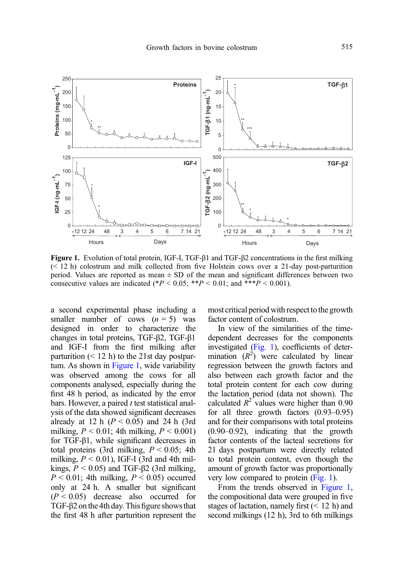<span id="page-4-0"></span>

Figure 1. Evolution of total protein, IGF-I, TGF-β1 and TGF-β2 concentrations in the first milking (< 12 h) colostrum and milk collected from five Holstein cows over a 21-day post-parturition period. Values are reported as mean  $\pm$  SD of the mean and significant differences between two consecutive values are indicated (\* $P \le 0.05$ ; \*\* $P \le 0.01$ ; and \*\*\* $P \le 0.001$ ).

a second experimental phase including a smaller number of cows  $(n = 5)$  was designed in order to characterize the changes in total proteins, TGF-β2, TGF-β1 and IGF-I from the first milking after parturition  $(< 12 \text{ h})$  to the 21st day postpartum. As shown in Figure 1, wide variability was observed among the cows for all components analysed, especially during the first 48 h period, as indicated by the error bars. However, a paired  $t$  test statistical analysis of the data showed significant decreases already at 12 h  $(P < 0.05)$  and 24 h (3rd) milking,  $P < 0.01$ ; 4th milking,  $P < 0.001$ ) for TGF-β1, while significant decreases in total proteins (3rd milking,  $P \le 0.05$ ; 4th milking,  $P \le 0.01$ ), IGF-I (3rd and 4th milkings,  $P < 0.05$ ) and TGF- $\beta$ 2 (3rd milking,  $P < 0.01$ ; 4th milking,  $P < 0.05$ ) occurred only at 24 h. A smaller but significant  $(P < 0.05)$  decrease also occurred for TGF- $\beta$ 2 on the 4th day. This figure shows that the first 48 h after parturition represent the most critical period with respect to the growth factor content of colostrum.

In view of the similarities of the timedependent decreases for the components investigated (Fig. 1), coefficients of determination  $(R^2)$  were calculated by linear<br>regression between the growth factors and regression between the growth factors and also between each growth factor and the total protein content for each cow during the lactation period (data not shown). The calculated  $R^2$  values were higher than 0.90 for all three growth factors (0.93–0.95) and for their comparisons with total proteins (0.90–0.92), indicating that the growth factor contents of the lacteal secretions for 21 days postpartum were directly related to total protein content, even though the amount of growth factor was proportionally very low compared to protein (Fig. 1).

From the trends observed in Figure 1, the compositional data were grouped in five stages of lactation, namely first  $(< 12 \text{ h})$  and second milkings (12 h), 3rd to 6th milkings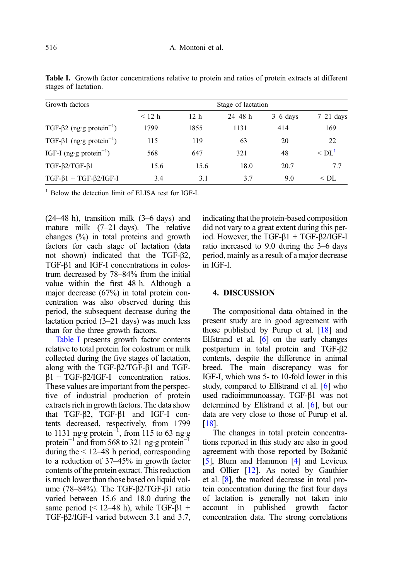| Growth factors                               | Stage of lactation |                 |             |            |                        |
|----------------------------------------------|--------------------|-----------------|-------------|------------|------------------------|
|                                              | $<$ 12 h           | 12 <sub>h</sub> | $24 - 48$ h | $3-6$ days | $7-21$ days            |
| TGF- $\beta$ 2 (ng·g protein <sup>-1</sup> ) | 1799               | 1855            | 1131        | 414        | 169                    |
| TGF- $\beta$ 1 (ng·g protein <sup>-1</sup> ) | 115                | 119             | 63          | 20         | 22                     |
| IGF-I (ng·g protein <sup>-1</sup> )          | 568                | 647             | 321         | 48         | $\leq$ DL <sup>1</sup> |
| $TGF-B2/TGF-B1$                              | 15.6               | 15.6            | 18.0        | 20.7       | 77                     |
| $TGF-\beta1 + TGF-\beta2/IGF-I$              | 3.4                | 3.1             | 3.7         | 9.0        | $<$ DL                 |

<span id="page-5-0"></span>Table I. Growth factor concentrations relative to protein and ratios of protein extracts at different stages of lactation.

<sup>1</sup> Below the detection limit of ELISA test for IGF-I.

(24–48 h), transition milk (3–6 days) and mature milk (7–21 days). The relative changes (%) in total proteins and growth factors for each stage of lactation (data not shown) indicated that the TGF-β2, TGF-β1 and IGF-I concentrations in colostrum decreased by 78–84% from the initial value within the first 48 h. Although a major decrease (67%) in total protein concentration was also observed during this period, the subsequent decrease during the lactation period (3–21 days) was much less than for the three growth factors.

Table I presents growth factor contents relative to total protein for colostrum or milk collected during the five stages of lactation, along with the TGF-β2/TGF-β1 and TGFβ1 + TGF-β2/IGF-I concentration ratios. These values are important from the perspective of industrial production of protein extracts rich in growth factors. The data show that TGF-β2, TGF-β1 and IGF-I contents decreased, respectively, from 1799 to 1131 ng·g protein<sup>-1</sup>, from 115 to 63 ng·g protein<sup>-1</sup> and from 568 to 321 ng·g protein<sup>-1</sup> during the  $\leq 12-48$  h period, corresponding to a reduction of 37–45% in growth factor contents of the protein extract. This reduction is much lower than those based on liquid volume (78–84%). The TGF-β2/TGF-β1 ratio varied between 15.6 and 18.0 during the same period ( $\leq$  12–48 h), while TGF- $\beta$ 1 + TGF-β2/IGF-I varied between 3.1 and 3.7, indicating that the protein-based composition did not vary to a great extent during this period. However, the TGF-β1 + TGF-β2/IGF-I ratio increased to 9.0 during the 3–6 days period, mainly as a result of a major decrease in IGF-I.

## 4. DISCUSSION

The compositional data obtained in the present study are in good agreement with those published by Purup et al. [\[18\]](#page-7-0) and Elfstrand et al.  $\overline{6}$  on the early changes postpartum in total protein and TGF-β2 contents, despite the difference in animal breed. The main discrepancy was for IGF-I, which was 5- to 10-fold lower in this study, compared to Elfstrand et al. [\[6](#page-6-0)] who used radioimmunoassay. TGF-β1 was not determined by Elfstrand et al. [\[6\]](#page-6-0), but our data are very close to those of Purup et al. [[18](#page-7-0)].

The changes in total protein concentrations reported in this study are also in good agreement with those reported by Božanić [[5](#page-6-0)], Blum and Hammon [[4](#page-6-0)] and Levieux and Ollier [\[12\]](#page-7-0). As noted by Gauthier et al. [\[8](#page-7-0)], the marked decrease in total protein concentration during the first four days of lactation is generally not taken into account in published growth factor concentration data. The strong correlations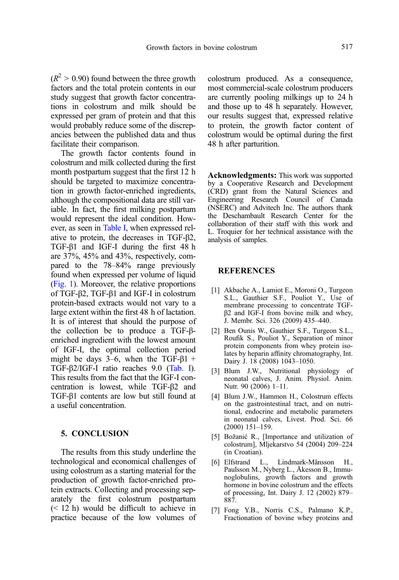<span id="page-6-0"></span> $(R^2 > 0.90)$  found between the three growth factors and the total protein contents in our study suggest that growth factor concentrations in colostrum and milk should be expressed per gram of protein and that this would probably reduce some of the discrepancies between the published data and thus facilitate their comparison.

The growth factor contents found in colostrum and milk collected during the first month postpartum suggest that the first 12 h should be targeted to maximize concentration in growth factor-enriched ingredients, although the compositional data are still variable. In fact, the first milking postpartum would represent the ideal condition. However, as seen in [Table I,](#page-5-0) when expressed relative to protein, the decreases in TGF-β2, TGF-β1 and IGF-I during the first 48 h are 37%, 45% and 43%, respectively, compared to the 78–84% range previously found when expressed per volume of liquid ([Fig. 1](#page-4-0)). Moreover, the relative proportions of TGF-β2, TGF-β1 and IGF-I in colostrum protein-based extracts would not vary to a large extent within the first 48 h of lactation. It is of interest that should the purpose of the collection be to produce a TGF-βenriched ingredient with the lowest amount of IGF-I, the optimal collection period might be days 3–6, when the TGF- $\beta$ 1 + TGF-β2/IGF-I ratio reaches 9.0 ([Tab. I\)](#page-5-0). This results from the fact that the IGF-I concentration is lowest, while TGF-β2 and TGF-β1 contents are low but still found at a useful concentration.

# 5. CONCLUSION

The results from this study underline the technological and economical challenges of using colostrum as a starting material for the production of growth factor-enriched protein extracts. Collecting and processing separately the first colostrum postpartum (< 12 h) would be difficult to achieve in practice because of the low volumes of colostrum produced. As a consequence, most commercial-scale colostrum producers are currently pooling milkings up to 24 h and those up to 48 h separately. However, our results suggest that, expressed relative to protein, the growth factor content of colostrum would be optimal during the first 48 h after parturition.

Acknowledgments: This work was supported by a Cooperative Research and Development (CRD) grant from the Natural Sciences and Engineering Research Council of Canada (NSERC) and Advitech Inc. The authors thank the Deschambault Research Center for the collaboration of their staff with this work and L. Troquier for her technical assistance with the analysis of samples.

## **REFERENCES**

- [1] Akbache A., Lamiot E., Moroni O., Turgeon S.L., Gauthier S.F., Pouliot Y., Use of membrane processing to concentrate TGFβ2 and IGF-I from bovine milk and whey, J. Membr. Sci. 326 (2009) 435–440.
- [2] Ben Ounis W., Gauthier S.F., Turgeon S.L., Roufik S., Pouliot Y., Separation of minor protein components from whey protein isolates by heparin affinity chromatography, Int. Dairy J. 18 (2008) 1043–1050.
- [3] Blum J.W., Nutritional physiology of neonatal calves, J. Anim. Physiol. Anim. Nutr. 90 (2006) 1–11.
- [4] Blum J.W., Hammon H., Colostrum effects on the gastrointestinal tract, and on nutritional, endocrine and metabolic parameters in neonatal calves, Livest. Prod. Sci. 66 (2000) 151–159.
- [5] Božanić R., [Importance and utilization of colostrum], Mljekarstvo 54 (2004) 209–224 (in Croatian).
- [6] Elfstrand L., Lindmark-Månsson H., Paulsson M., Nyberg L., Åkesson B., Immunoglobulins, growth factors and growth hormone in bovine colostrum and the effects of processing, Int. Dairy J. 12 (2002) 879– 887.
- [7] Fong Y.B., Norris C.S., Palmano K.P., Fractionation of bovine whey proteins and